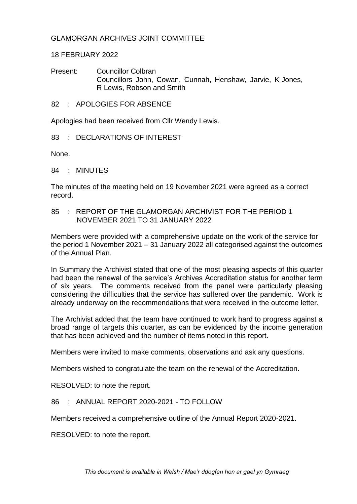## GLAMORGAN ARCHIVES JOINT COMMITTEE

## 18 FEBRUARY 2022

Present: Councillor Colbran Councillors John, Cowan, Cunnah, Henshaw, Jarvie, K Jones, R Lewis, Robson and Smith

82 : APOLOGIES FOR ABSENCE

Apologies had been received from Cllr Wendy Lewis.

83 : DECLARATIONS OF INTEREST

None.

84 : MINUTES

The minutes of the meeting held on 19 November 2021 were agreed as a correct record.

85 : REPORT OF THE GLAMORGAN ARCHIVIST FOR THE PERIOD 1 NOVEMBER 2021 TO 31 JANUARY 2022

Members were provided with a comprehensive update on the work of the service for the period 1 November 2021 – 31 January 2022 all categorised against the outcomes of the Annual Plan.

In Summary the Archivist stated that one of the most pleasing aspects of this quarter had been the renewal of the service's Archives Accreditation status for another term of six years. The comments received from the panel were particularly pleasing considering the difficulties that the service has suffered over the pandemic. Work is already underway on the recommendations that were received in the outcome letter.

The Archivist added that the team have continued to work hard to progress against a broad range of targets this quarter, as can be evidenced by the income generation that has been achieved and the number of items noted in this report.

Members were invited to make comments, observations and ask any questions.

Members wished to congratulate the team on the renewal of the Accreditation.

RESOLVED: to note the report.

86 : ANNUAL REPORT 2020-2021 - TO FOLLOW

Members received a comprehensive outline of the Annual Report 2020-2021.

RESOLVED: to note the report.